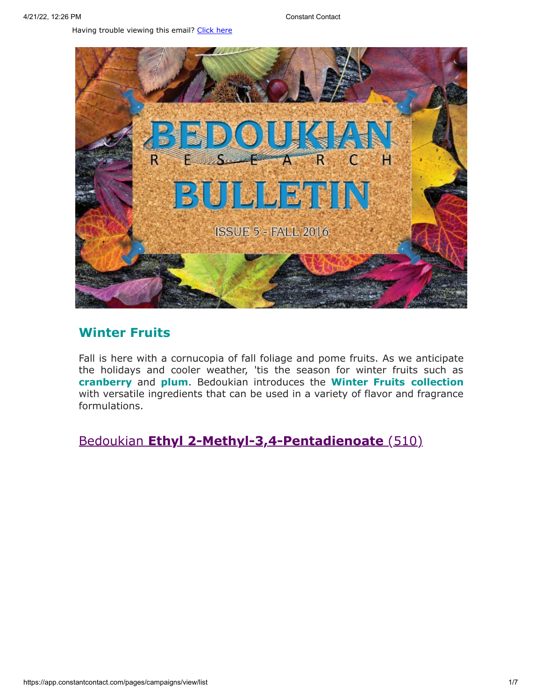Having trouble viewing this email? [Click](http://campaign.r20.constantcontact.com/render?preview=true&m=1119604276206&ca=5ff733e5-9292-4bc3-a3ce-d687a4d5dd1c&id=preview) here



## **Winter Fruits**

Fall is here with a cornucopia of fall foliage and pome fruits. As we anticipate the holidays and cooler weather, 'tis the season for winter fruits such as **cranberry** and **plum**. Bedoukian introduces the **Winter Fruits collection** with versatile ingredients that can be used in a variety of flavor and fragrance formulations.

Bedoukian **[Ethyl 2-Methyl-3,4-Pentadienoate](http://search.bedoukian.com/flavorfragrance/ff_product.asp?method=POP&id=510)** (510)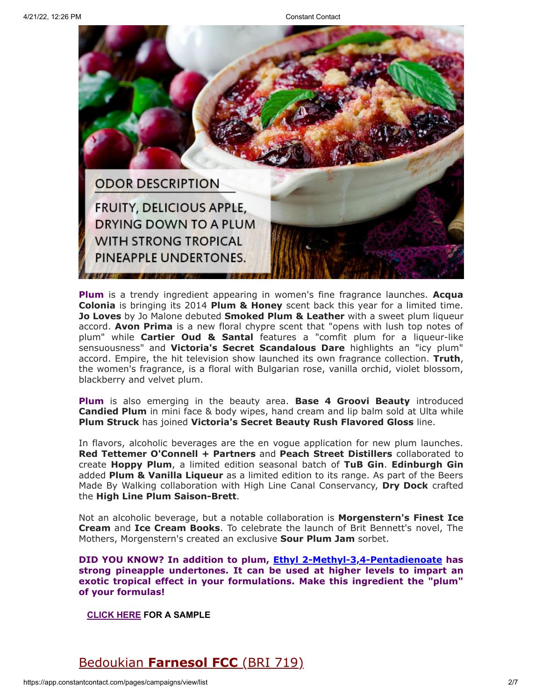

**Plum** is a trendy ingredient appearing in women's fine fragrance launches. **Acqua Colonia** is bringing its 2014 **Plum & Honey** scent back this year for a limited time. **Jo Loves** by Jo Malone debuted **Smoked Plum & Leather** with a sweet plum liqueur accord. **Avon Prima** is a new floral chypre scent that "opens with lush top notes of plum" while **Cartier Oud & Santal** features a "comfit plum for a liqueur-like sensuousness" and **Victoria's Secret Scandalous Dare** highlights an "icy plum" accord. Empire, the hit television show launched its own fragrance collection. **Truth**, the women's fragrance, is a floral with Bulgarian rose, vanilla orchid, violet blossom, blackberry and velvet plum.

**Plum** is also emerging in the beauty area. **Base 4 Groovi Beauty** introduced **Candied Plum** in mini face & body wipes, hand cream and lip balm sold at Ulta while **Plum Struck** has joined **Victoria's Secret Beauty Rush Flavored Gloss** line.

In flavors, alcoholic beverages are the en vogue application for new plum launches. **Red Tettemer O'Connell + Partners** and **Peach Street Distillers** collaborated to create **Hoppy Plum**, a limited edition seasonal batch of **TuB Gin**. **Edinburgh Gin** added **Plum & Vanilla Liqueur** as a limited edition to its range. As part of the Beers Made By Walking collaboration with High Line Canal Conservancy, **Dry Dock** crafted the **High Line Plum Saison-Brett**.

Not an alcoholic beverage, but a notable collaboration is **Morgenstern's Finest Ice Cream** and **Ice Cream Books**. To celebrate the launch of Brit Bennett's novel, The Mothers, Morgenstern's created an exclusive **Sour Plum Jam** sorbet.

**DID YOU KNOW? In addition to plum, [Ethyl 2-Methyl-3,4-Pentadienoate](http://search.bedoukian.com/flavorfragrance/ff_product.asp?method=POP&id=510) has strong pineapple undertones. It can be used at higher levels to impart an exotic tropical effect in your formulations. Make this ingredient the "plum" of your formulas!**

**[CLICK](mailto:customerservice@bedoukian.com?subject=Bedoukian%20Bulletin%20-%20Fall%202016&body=Hello%2C%0A%0AI%20would%20like%20to%20request%20free%20samples%20of%20each%20product%20advertised%20in%20the%20Fall%202016%20Bedoukian%20Bulletin!%0A) HERE FOR A SAMPLE**

Bedoukian **[Farnesol FCC](http://search.bedoukian.com/flavorfragrance/ff_product.asp?method=POP&id=719)** (BRI 719)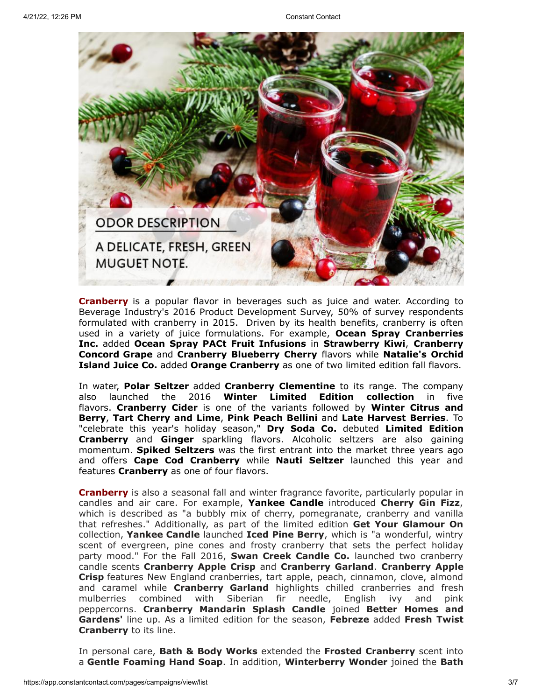

**Cranberry** is a popular flavor in beverages such as juice and water. According to Beverage Industry's 2016 Product Development Survey, 50% of survey respondents formulated with cranberry in 2015. Driven by its health benefits, cranberry is often used in a variety of juice formulations. For example, **Ocean Spray Cranberries Inc.** added **Ocean Spray PACt Fruit Infusions** in **Strawberry Kiwi**, **Cranberry Concord Grape** and **Cranberry Blueberry Cherry** flavors while **Natalie's Orchid Island Juice Co.** added **Orange Cranberry** as one of two limited edition fall flavors.

In water, **Polar Seltzer** added **Cranberry Clementine** to its range. The company also launched the 2016 **Winter Limited Edition collection** in five flavors. **Cranberry Cider** is one of the variants followed by **Winter Citrus and Berry**, **Tart Cherry and Lime**, **Pink Peach Bellini** and **Late Harvest Berries**. To "celebrate this year's holiday season," **Dry Soda Co.** debuted **Limited Edition Cranberry** and **Ginger** sparkling flavors. Alcoholic seltzers are also gaining momentum. **Spiked Seltzers** was the first entrant into the market three years ago and offers **Cape Cod Cranberry** while **Nauti Seltzer** launched this year and features **Cranberry** as one of four flavors.

**Cranberry** is also a seasonal fall and winter fragrance favorite, particularly popular in candles and air care. For example, **Yankee Candle** introduced **Cherry Gin Fizz**, which is described as "a bubbly mix of cherry, pomegranate, cranberry and vanilla that refreshes." Additionally, as part of the limited edition **Get Your Glamour On** collection, **Yankee Candle** launched **Iced Pine Berry**, which is "a wonderful, wintry scent of evergreen, pine cones and frosty cranberry that sets the perfect holiday party mood." For the Fall 2016, **Swan Creek Candle Co.** launched two cranberry candle scents **Cranberry Apple Crisp** and **Cranberry Garland**. **Cranberry Apple Crisp** features New England cranberries, tart apple, peach, cinnamon, clove, almond and caramel while **Cranberry Garland** highlights chilled cranberries and fresh mulberries combined with Siberian fir needle, English ivy and pink peppercorns. **Cranberry Mandarin Splash Candle** joined **Better Homes and Gardens'** line up. As a limited edition for the season, **Febreze** added **Fresh Twist Cranberry** to its line.

In personal care, **Bath & Body Works** extended the **Frosted Cranberry** scent into a **Gentle Foaming Hand Soap**. In addition, **Winterberry Wonder** joined the **Bath**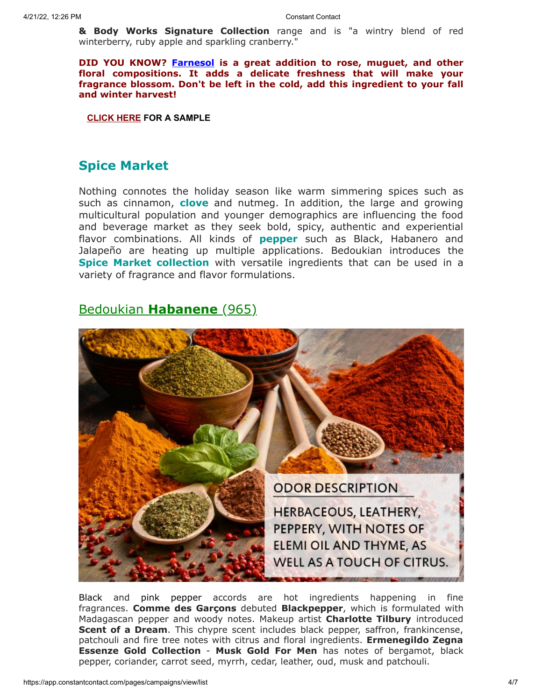**& Body Works Signature Collection** range and is "a wintry blend of red winterberry, ruby apple and sparkling cranberry."

**DID YOU KNOW? [Farnesol](http://search.bedoukian.com/flavorfragrance/ff_product.asp?method=POP&id=719) is a great addition to rose, muguet, and other floral compositions. It adds a delicate freshness that will make your fragrance blossom. Don't be left in the cold, add this ingredient to your fall and winter harvest!**

**[CLICK](mailto:customerservice@bedoukian.com?subject=Bedoukian%20Bulletin%20-%20Fall%202016&body=Hello%2C%0A%0AI%20would%20like%20to%20request%20free%20samples%20of%20each%20product%20advertised%20in%20the%20Fall%202016%20Bedoukian%20Bulletin!%0A) HERE FOR A SAMPLE**

## **Spice Market**

Nothing connotes the holiday season like warm simmering spices such as such as cinnamon, **clove** and nutmeg. In addition, the large and growing multicultural population and younger demographics are influencing the food and beverage market as they seek bold, spicy, authentic and experiential flavor combinations. All kinds of **pepper** such as Black, Habanero and Jalapeño are heating up multiple applications. Bedoukian introduces the **Spice Market collection** with versatile ingredients that can be used in a variety of fragrance and flavor formulations.

## Bedoukian **[Habanene](http://search.bedoukian.com/flavorfragrance/ff_product.asp?method=POP&id=965)** (965)



Black and pink pepper accords are hot ingredients happening in fine fragrances. **Comme des Garçons** debuted **Blackpepper**, which is formulated with Madagascan pepper and woody notes. Makeup artist **Charlotte Tilbury** introduced **Scent of a Dream**. This chypre scent includes black pepper, saffron, frankincense, patchouli and fire tree notes with citrus and floral ingredients. **Ermenegildo Zegna Essenze Gold Collection** - **Musk Gold For Men** has notes of bergamot, black pepper, coriander, carrot seed, myrrh, cedar, leather, oud, musk and patchouli.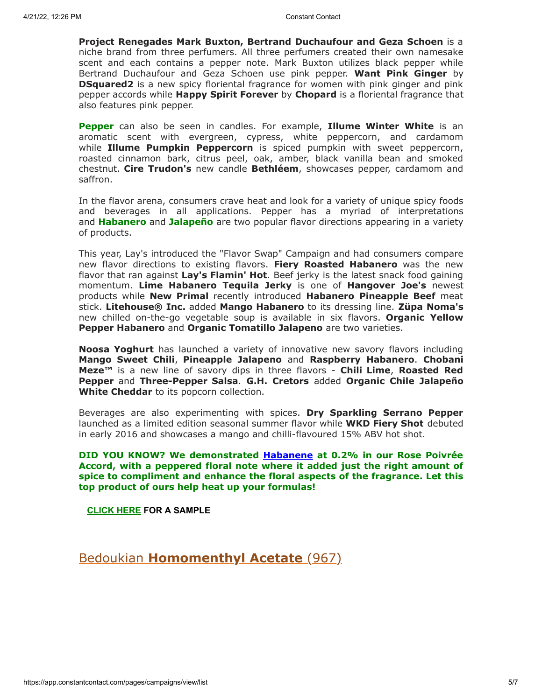**Project Renegades Mark Buxton, Bertrand Duchaufour and Geza Schoen** is a niche brand from three perfumers. All three perfumers created their own namesake scent and each contains a pepper note. Mark Buxton utilizes black pepper while Bertrand Duchaufour and Geza Schoen use pink pepper. **Want Pink Ginger** by **DSquared2** is a new spicy floriental fragrance for women with pink ginger and pink pepper accords while **Happy Spirit Forever** by **Chopard** is a floriental fragrance that also features pink pepper.

**Pepper** can also be seen in candles. For example, **Illume Winter White** is an aromatic scent with evergreen, cypress, white peppercorn, and cardamom while **Illume Pumpkin Peppercorn** is spiced pumpkin with sweet peppercorn, roasted cinnamon bark, citrus peel, oak, amber, black vanilla bean and smoked chestnut. **Cire Trudon's** new candle **Bethléem**, showcases pepper, cardamom and saffron.

In the flavor arena, consumers crave heat and look for a variety of unique spicy foods and beverages in all applications. Pepper has a myriad of interpretations and **Habanero** and **Jalapeño** are two popular flavor directions appearing in a variety of products.

This year, Lay's introduced the "Flavor Swap" Campaign and had consumers compare new flavor directions to existing flavors. **Fiery Roasted Habanero** was the new flavor that ran against **Lay's Flamin' Hot**. Beef jerky is the latest snack food gaining momentum. **Lime Habanero Tequila Jerky** is one of **Hangover Joe's** newest products while **New Primal** recently introduced **Habanero Pineapple Beef** meat stick. **Litehouse® Inc.** added **Mango Habanero** to its dressing line. **Züpa Noma's** new chilled on-the-go vegetable soup is available in six flavors. **Organic Yellow Pepper Habanero** and **Organic Tomatillo Jalapeno** are two varieties.

**Noosa Yoghurt** has launched a variety of innovative new savory flavors including **Mango Sweet Chili**, **Pineapple Jalapeno** and **Raspberry Habanero**. **Chobani Meze™** is a new line of savory dips in three flavors - **Chili Lime**, **Roasted Red Pepper** and **Three-Pepper Salsa**. **G.H. Cretors** added **Organic Chile Jalapeño White Cheddar** to its popcorn collection.

Beverages are also experimenting with spices. **Dry Sparkling Serrano Pepper** launched as a limited edition seasonal summer flavor while **WKD Fiery Shot** debuted in early 2016 and showcases a mango and chilli-flavoured 15% ABV hot shot.

**DID YOU KNOW? We demonstrated [Habanene](http://search.bedoukian.com/flavorfragrance/ff_product.asp?method=POP&id=965) at 0.2% in our Rose Poivrée Accord, with a peppered floral note where it added just the right amount of spice to compliment and enhance the floral aspects of the fragrance. Let this top product of ours help heat up your formulas!**

**[CLICK](mailto:customerservice@bedoukian.com?subject=Bedoukian%20Bulletin%20-%20Fall%202016&body=Hello%2C%0A%0AI%20would%20like%20to%20request%20free%20samples%20of%20each%20product%20advertised%20in%20the%20Fall%202016%20Bedoukian%20Bulletin!%0A) HERE FOR A SAMPLE**

Bedoukian **[Homomenthyl Acetate](http://search.bedoukian.com/flavorfragrance/ff_product.asp?method=POP&id=967)** (967)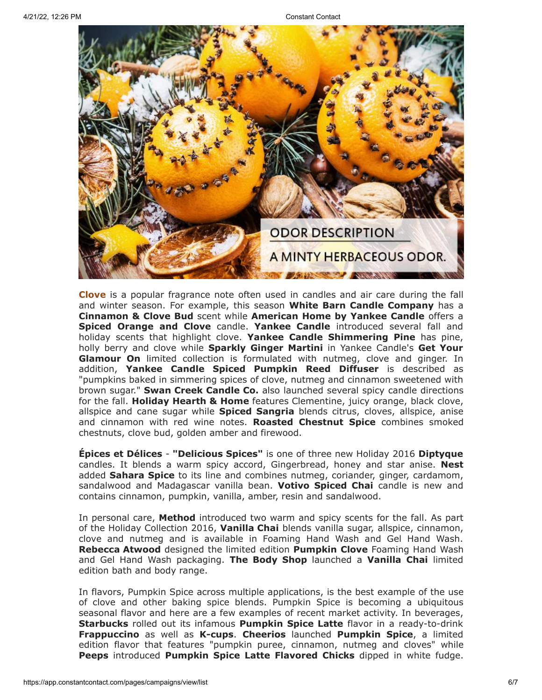

**Clove** is a popular fragrance note often used in candles and air care during the fall and winter season. For example, this season **White Barn Candle Company** has a **Cinnamon & Clove Bud** scent while **American Home by Yankee Candle** offers a **Spiced Orange and Clove** candle. **Yankee Candle** introduced several fall and holiday scents that highlight clove. **Yankee Candle Shimmering Pine** has pine, holly berry and clove while **Sparkly Ginger Martini** in Yankee Candle's **Get Your Glamour On** limited collection is formulated with nutmeg, clove and ginger. In addition, **Yankee Candle Spiced Pumpkin Reed Diffuser** is described as "pumpkins baked in simmering spices of clove, nutmeg and cinnamon sweetened with brown sugar." **Swan Creek Candle Co.** also launched several spicy candle directions for the fall. **Holiday Hearth & Home** features Clementine, juicy orange, black clove, allspice and cane sugar while **Spiced Sangria** blends citrus, cloves, allspice, anise and cinnamon with red wine notes. **Roasted Chestnut Spice** combines smoked chestnuts, clove bud, golden amber and firewood.

**Épices et Délices** - **"Delicious Spices"** is one of three new Holiday 2016 **Diptyque** candles. It blends a warm spicy accord, Gingerbread, honey and star anise. **Nest** added **Sahara Spice** to its line and combines nutmeg, coriander, ginger, cardamom, sandalwood and Madagascar vanilla bean. **Votivo Spiced Chai** candle is new and contains cinnamon, pumpkin, vanilla, amber, resin and sandalwood.

In personal care, **Method** introduced two warm and spicy scents for the fall. As part of the Holiday Collection 2016, **Vanilla Chai** blends vanilla sugar, allspice, cinnamon, clove and nutmeg and is available in Foaming Hand Wash and Gel Hand Wash. **Rebecca Atwood** designed the limited edition **Pumpkin Clove** Foaming Hand Wash and Gel Hand Wash packaging. **The Body Shop** launched a **Vanilla Chai** limited edition bath and body range.

In flavors, Pumpkin Spice across multiple applications, is the best example of the use of clove and other baking spice blends. Pumpkin Spice is becoming a ubiquitous seasonal flavor and here are a few examples of recent market activity. In beverages, **Starbucks** rolled out its infamous **Pumpkin Spice Latte** flavor in a ready-to-drink **Frappuccino** as well as **K-cups**. **Cheerios** launched **Pumpkin Spice**, a limited edition flavor that features "pumpkin puree, cinnamon, nutmeg and cloves" while **Peeps** introduced **Pumpkin Spice Latte Flavored Chicks** dipped in white fudge.